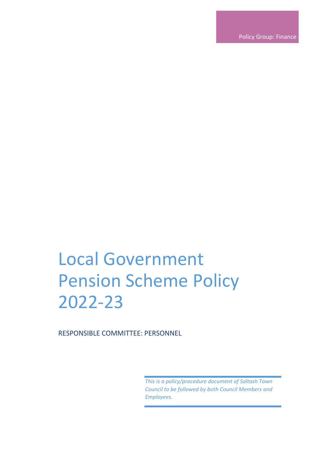Policy Group: Finance

# Local Government Pension Scheme Policy 2022-23

RESPONSIBLE COMMITTEE: PERSONNEL

*This is a policy/procedure document of Saltash Town Council to be followed by both Council Members and Employees.*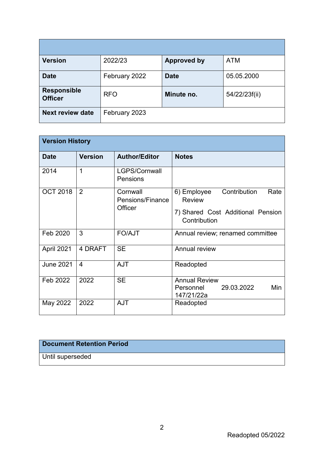| Version                              | 2022/23       | <b>Approved by</b> | <b>ATM</b>    |
|--------------------------------------|---------------|--------------------|---------------|
| <b>Date</b>                          | February 2022 | <b>Date</b>        | 05.05.2000    |
| <b>Responsible</b><br><b>Officer</b> | <b>RFO</b>    | Minute no.         | 54/22/23f(ii) |
| <b>Next review date</b>              | February 2023 |                    |               |

| <b>Version History</b> |                |                                         |                                                                                                           |  |  |
|------------------------|----------------|-----------------------------------------|-----------------------------------------------------------------------------------------------------------|--|--|
| <b>Date</b>            | <b>Version</b> | <b>Author/Editor</b>                    | <b>Notes</b>                                                                                              |  |  |
| 2014                   | 1              | LGPS/Cornwall<br>Pensions               |                                                                                                           |  |  |
| <b>OCT 2018</b>        | 2              | Cornwall<br>Pensions/Finance<br>Officer | Contribution<br>6) Employee<br>Rate<br><b>Review</b><br>7) Shared Cost Additional Pension<br>Contribution |  |  |
| Feb 2020               | 3              | <b>FO/AJT</b>                           | Annual review; renamed committee                                                                          |  |  |
| April 2021             | 4 DRAFT        | <b>SE</b>                               | Annual review                                                                                             |  |  |
| <b>June 2021</b>       | $\overline{4}$ | <b>AJT</b>                              | Readopted                                                                                                 |  |  |
| Feb 2022               | 2022           | <b>SE</b>                               | <b>Annual Review</b><br>29.03.2022<br>Min<br>Personnel<br>147/21/22a                                      |  |  |
| May 2022               | 2022           | <b>AJT</b>                              | Readopted                                                                                                 |  |  |

# **Document Retention Period**

Until superseded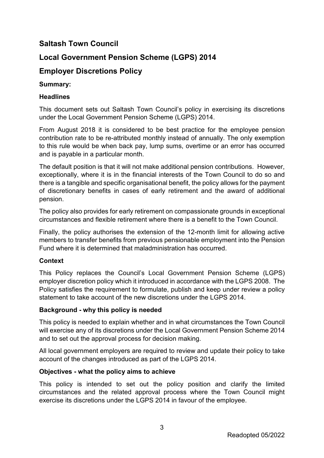# **Saltash Town Council**

# **Local Government Pension Scheme (LGPS) 2014**

# **Employer Discretions Policy**

## **Summary:**

# **Headlines**

This document sets out Saltash Town Council's policy in exercising its discretions under the Local Government Pension Scheme (LGPS) 2014.

From August 2018 it is considered to be best practice for the employee pension contribution rate to be re-attributed monthly instead of annually. The only exemption to this rule would be when back pay, lump sums, overtime or an error has occurred and is payable in a particular month.

The default position is that it will not make additional pension contributions. However, exceptionally, where it is in the financial interests of the Town Council to do so and there is a tangible and specific organisational benefit, the policy allows for the payment of discretionary benefits in cases of early retirement and the award of additional pension.

The policy also provides for early retirement on compassionate grounds in exceptional circumstances and flexible retirement where there is a benefit to the Town Council.

Finally, the policy authorises the extension of the 12-month limit for allowing active members to transfer benefits from previous pensionable employment into the Pension Fund where it is determined that maladministration has occurred.

## **Context**

This Policy replaces the Council's Local Government Pension Scheme (LGPS) employer discretion policy which it introduced in accordance with the LGPS 2008. The Policy satisfies the requirement to formulate, publish and keep under review a policy statement to take account of the new discretions under the LGPS 2014.

## **Background - why this policy is needed**

This policy is needed to explain whether and in what circumstances the Town Council will exercise any of its discretions under the Local Government Pension Scheme 2014 and to set out the approval process for decision making.

All local government employers are required to review and update their policy to take account of the changes introduced as part of the LGPS 2014.

## **Objectives - what the policy aims to achieve**

This policy is intended to set out the policy position and clarify the limited circumstances and the related approval process where the Town Council might exercise its discretions under the LGPS 2014 in favour of the employee.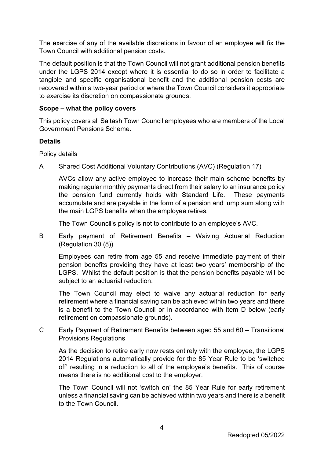The exercise of any of the available discretions in favour of an employee will fix the Town Council with additional pension costs.

The default position is that the Town Council will not grant additional pension benefits under the LGPS 2014 except where it is essential to do so in order to facilitate a tangible and specific organisational benefit and the additional pension costs are recovered within a two-year period or where the Town Council considers it appropriate to exercise its discretion on compassionate grounds.

### **Scope – what the policy covers**

This policy covers all Saltash Town Council employees who are members of the Local Government Pensions Scheme.

#### **Details**

Policy details

A Shared Cost Additional Voluntary Contributions (AVC) (Regulation 17)

AVCs allow any active employee to increase their main scheme benefits by making regular monthly payments direct from their salary to an insurance policy the pension fund currently holds with Standard Life. These payments accumulate and are payable in the form of a pension and lump sum along with the main LGPS benefits when the employee retires.

The Town Council's policy is not to contribute to an employee's AVC.

B Early payment of Retirement Benefits – Waiving Actuarial Reduction (Regulation 30 (8))

Employees can retire from age 55 and receive immediate payment of their pension benefits providing they have at least two years' membership of the LGPS. Whilst the default position is that the pension benefits payable will be subject to an actuarial reduction.

The Town Council may elect to waive any actuarial reduction for early retirement where a financial saving can be achieved within two years and there is a benefit to the Town Council or in accordance with item D below (early retirement on compassionate grounds).

C Early Payment of Retirement Benefits between aged 55 and 60 – Transitional Provisions Regulations

As the decision to retire early now rests entirely with the employee, the LGPS 2014 Regulations automatically provide for the 85 Year Rule to be 'switched off' resulting in a reduction to all of the employee's benefits. This of course means there is no additional cost to the employer.

The Town Council will not 'switch on' the 85 Year Rule for early retirement unless a financial saving can be achieved within two years and there is a benefit to the Town Council.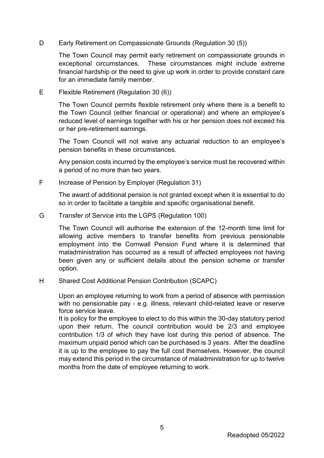D Early Retirement on Compassionate Grounds (Regulation 30 (5))

The Town Council may permit early retirement on compassionate grounds in exceptional circumstances. These circumstances might include extreme financial hardship or the need to give up work in order to provide constant care for an immediate family member.

E Flexible Retirement (Regulation 30 (6))

The Town Council permits flexible retirement only where there is a benefit to the Town Council (either financial or operational) and where an employee's reduced level of earnings together with his or her pension does not exceed his or her pre-retirement earnings.

The Town Council will not waive any actuarial reduction to an employee's pension benefits in these circumstances.

Any pension costs incurred by the employee's service must be recovered within a period of no more than two years.

F Increase of Pension by Employer (Regulation 31)

The award of additional pension is not granted except when it is essential to do so in order to facilitate a tangible and specific organisational benefit.

G Transfer of Service into the LGPS (Regulation 100)

The Town Council will authorise the extension of the 12-month time limit for allowing active members to transfer benefits from previous pensionable employment into the Cornwall Pension Fund where it is determined that maladministration has occurred as a result of affected employees not having been given any or sufficient details about the pension scheme or transfer option.

H Shared Cost Additional Pension Contribution (SCAPC)

Upon an employee returning to work from a period of absence with permission with no pensionable pay - e.g. illness, relevant child-related leave or reserve force service leave.

It is policy for the employee to elect to do this within the 30-day statutory period upon their return. The council contribution would be 2/3 and employee contribution 1/3 of which they have lost during this period of absence. The maximum unpaid period which can be purchased is 3 years. After the deadline it is up to the employee to pay the full cost themselves. However, the council may extend this period in the circumstance of maladministration for up to twelve months from the date of employee returning to work.